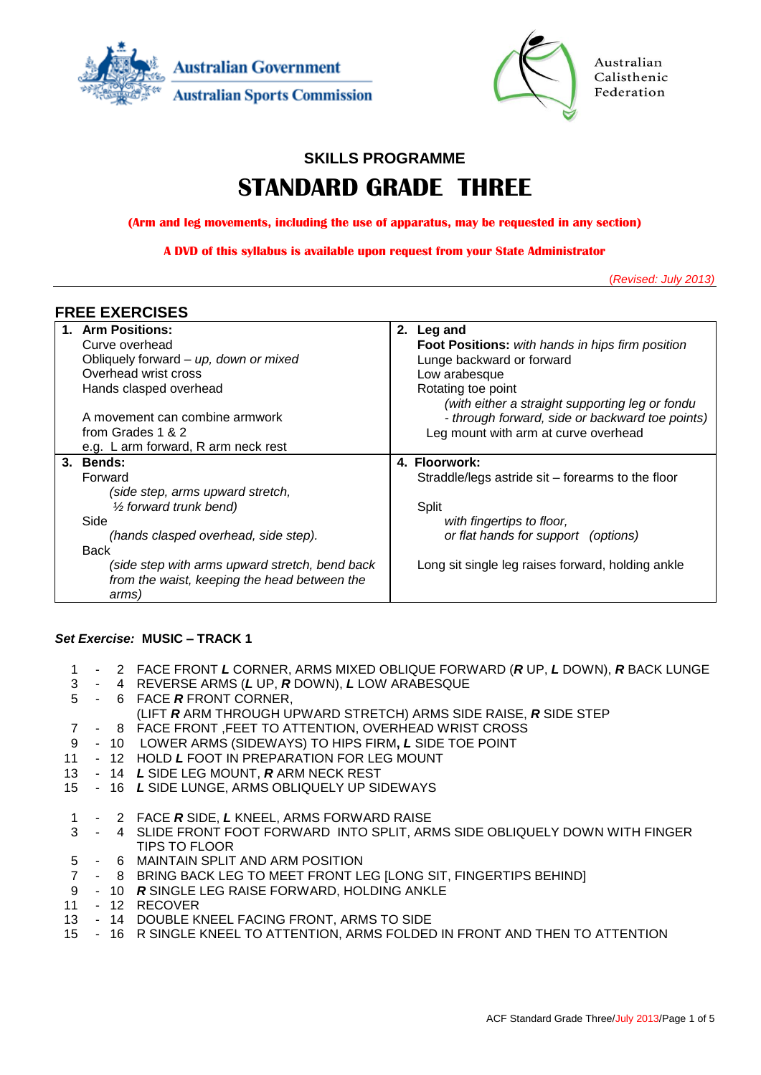



Australian Calisthenic Federation

# **SKILLS PROGRAMME**

# **STANDARD GRADE THREE**

**(Arm and leg movements, including the use of apparatus, may be requested in any section)**

**A DVD of this syllabus is available upon request from your State Administrator**

(*Revised: July 2013)*

#### **FREE EXERCISES**

| 1. Arm Positions:                                                                                       | 2. | Leg and                                           |
|---------------------------------------------------------------------------------------------------------|----|---------------------------------------------------|
| Curve overhead                                                                                          |    | Foot Positions: with hands in hips firm position  |
| Obliquely forward - up, down or mixed                                                                   |    | Lunge backward or forward                         |
| Overhead wrist cross                                                                                    |    | Low arabesque                                     |
| Hands clasped overhead                                                                                  |    | Rotating toe point                                |
|                                                                                                         |    | (with either a straight supporting leg or fondu   |
| A movement can combine armwork                                                                          |    | - through forward, side or backward toe points)   |
| from Grades 1 & 2                                                                                       |    | Leg mount with arm at curve overhead              |
| e.g. L arm forward, R arm neck rest                                                                     |    |                                                   |
| 3. Bends:                                                                                               |    | 4. Floorwork:                                     |
| Forward                                                                                                 |    | Straddle/legs astride sit – forearms to the floor |
| (side step, arms upward stretch,                                                                        |    |                                                   |
| $\frac{1}{2}$ forward trunk bend)                                                                       |    | Split                                             |
| Side                                                                                                    |    | with fingertips to floor,                         |
| (hands clasped overhead, side step).                                                                    |    | or flat hands for support (options)               |
| <b>Back</b>                                                                                             |    |                                                   |
| (side step with arms upward stretch, bend back<br>from the waist, keeping the head between the<br>arms) |    | Long sit single leg raises forward, holding ankle |

#### *Set Exercise:* **MUSIC – TRACK 1**

- 1 2 FACE FRONT *L* CORNER, ARMS MIXED OBLIQUE FORWARD (*R* UP, *L* DOWN), *R* BACK LUNGE
- 3 4 REVERSE ARMS (*L* UP, *R* DOWN), *L* LOW ARABESQUE
- 5 6 FACE *R* FRONT CORNER,
	- (LIFT *R* ARM THROUGH UPWARD STRETCH) ARMS SIDE RAISE, *R* SIDE STEP
- 7 8 FACE FRONT ,FEET TO ATTENTION, OVERHEAD WRIST CROSS
- 9 10 LOWER ARMS (SIDEWAYS) TO HIPS FIRM**,** *L* SIDE TOE POINT
- 11 12 HOLD *L* FOOT IN PREPARATION FOR LEG MOUNT
- 13 14 *L* SIDE LEG MOUNT, *R* ARM NECK REST
- 15 16 *L* SIDE LUNGE, ARMS OBLIQUELY UP SIDEWAYS
- 1 2 FACE *R* SIDE, *L* KNEEL, ARMS FORWARD RAISE
- 3 4 SLIDE FRONT FOOT FORWARD INTO SPLIT, ARMS SIDE OBLIQUELY DOWN WITH FINGER TIPS TO FLOOR
- 5 6 MAINTAIN SPLIT AND ARM POSITION
- 7 8 BRING BACK LEG TO MEET FRONT LEG [LONG SIT, FINGERTIPS BEHIND]
- 9 10 *R* SINGLE LEG RAISE FORWARD, HOLDING ANKLE
- 11 12 RECOVER
- 13 14 DOUBLE KNEEL FACING FRONT, ARMS TO SIDE
- 15 16 R SINGLE KNEEL TO ATTENTION, ARMS FOLDED IN FRONT AND THEN TO ATTENTION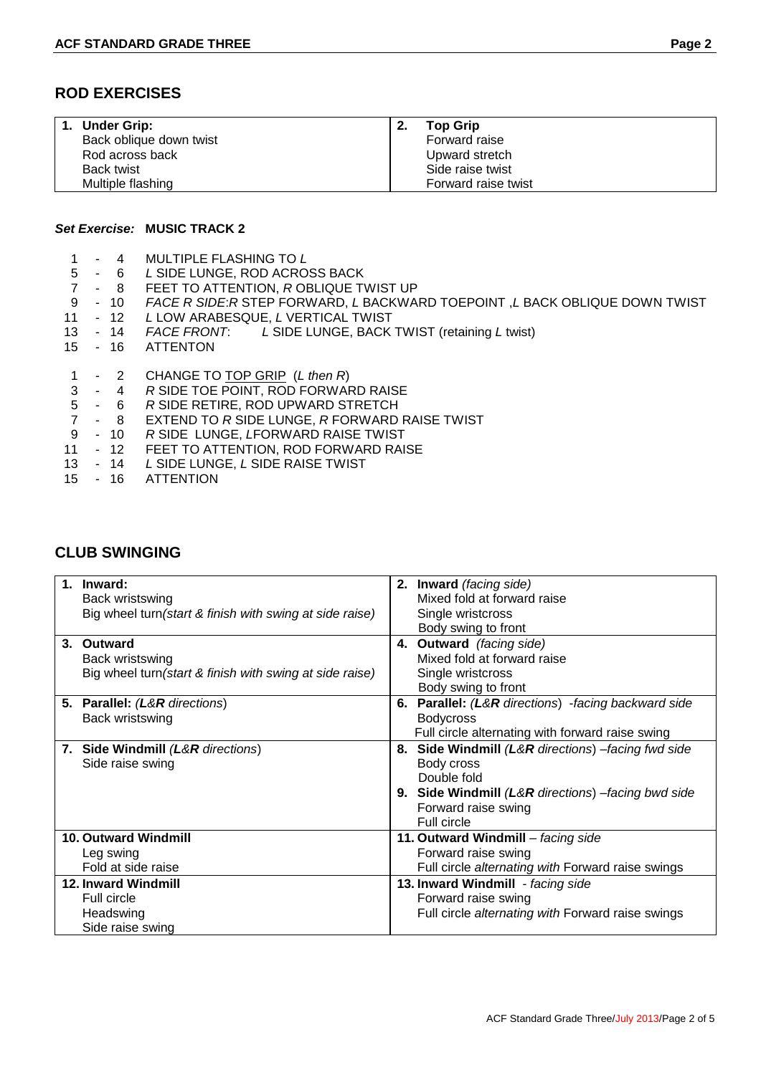## **ROD EXERCISES**

| 1. Under Grip:          | <b>Top Grip</b>     |
|-------------------------|---------------------|
| Back oblique down twist | Forward raise       |
| Rod across back         | Upward stretch      |
| Back twist              | Side raise twist    |
| Multiple flashing       | Forward raise twist |

#### *Set Exercise:* **MUSIC TRACK 2**

- 1 4 MULTIPLE FLASHING TO *L*
- L SIDE LUNGE, ROD ACROSS BACK
- 7 8 FEET TO ATTENTION, *R* OBLIQUE TWIST UP
- 9 10 *FACE R SIDE*:*R* STEP FORWARD, *L* BACKWARD TOEPOINT ,*L* BACK OBLIQUE DOWN TWIST
- L LOW ARABESQUE, *L* VERTICAL TWIST
- 13 14 *FACE FRONT*: *L* SIDE LUNGE, BACK TWIST (retaining *L* twist)
- 15 16 ATTENTON
- 1 2 CHANGE TO TOP GRIP (*L then R*)
- 3 4 *R* SIDE TOE POINT, ROD FORWARD RAISE
- 5 6 *R* SIDE RETIRE, ROD UPWARD STRETCH
- 7 8 EXTEND TO *R* SIDE LUNGE, *R* FORWARD RAISE TWIST
- 9 10 *R* SIDE LUNGE, *L*FORWARD RAISE TWIST
- 12 FEET TO ATTENTION, ROD FORWARD RAISE<br>- 14 L SIDE LUNGE. L SIDE RAISE TWIST
- 13 14 *L* SIDE LUNGE, *L* SIDE RAISE TWIST
- 15 16 ATTENTION

| 1. Inward:                                               | 2. Inward (facing side)                                       |
|----------------------------------------------------------|---------------------------------------------------------------|
| Back wristswing                                          | Mixed fold at forward raise                                   |
| Big wheel turn (start & finish with swing at side raise) | Single wristcross                                             |
|                                                          | Body swing to front                                           |
| 3.<br>Outward                                            | <b>Outward</b> (facing side)<br>4.                            |
| Back wristswing                                          | Mixed fold at forward raise                                   |
| Big wheel turn (start & finish with swing at side raise) | Single wristcross                                             |
|                                                          | Body swing to front                                           |
| 5. Parallel: (L&R directions)                            | <b>Parallel:</b> (L&R directions) -facing backward side<br>6. |
| Back wristswing                                          | <b>Bodycross</b>                                              |
|                                                          | Full circle alternating with forward raise swing              |
| 7. Side Windmill (L&R directions)                        | 8. Side Windmill (L&R directions) -facing fwd side            |
| Side raise swing                                         | Body cross                                                    |
|                                                          | Double fold                                                   |
|                                                          | 9. Side Windmill (L&R directions) -facing bwd side            |
|                                                          | Forward raise swing                                           |
|                                                          | Full circle                                                   |
| <b>10. Outward Windmill</b>                              | 11. Outward Windmill - facing side                            |
| Leg swing                                                | Forward raise swing                                           |
| Fold at side raise                                       | Full circle alternating with Forward raise swings             |
| 12. Inward Windmill                                      | 13. Inward Windmill - facing side                             |
| <b>Full circle</b>                                       | Forward raise swing                                           |
| Headswing                                                | Full circle alternating with Forward raise swings             |
| Side raise swing                                         |                                                               |

## **CLUB SWINGING**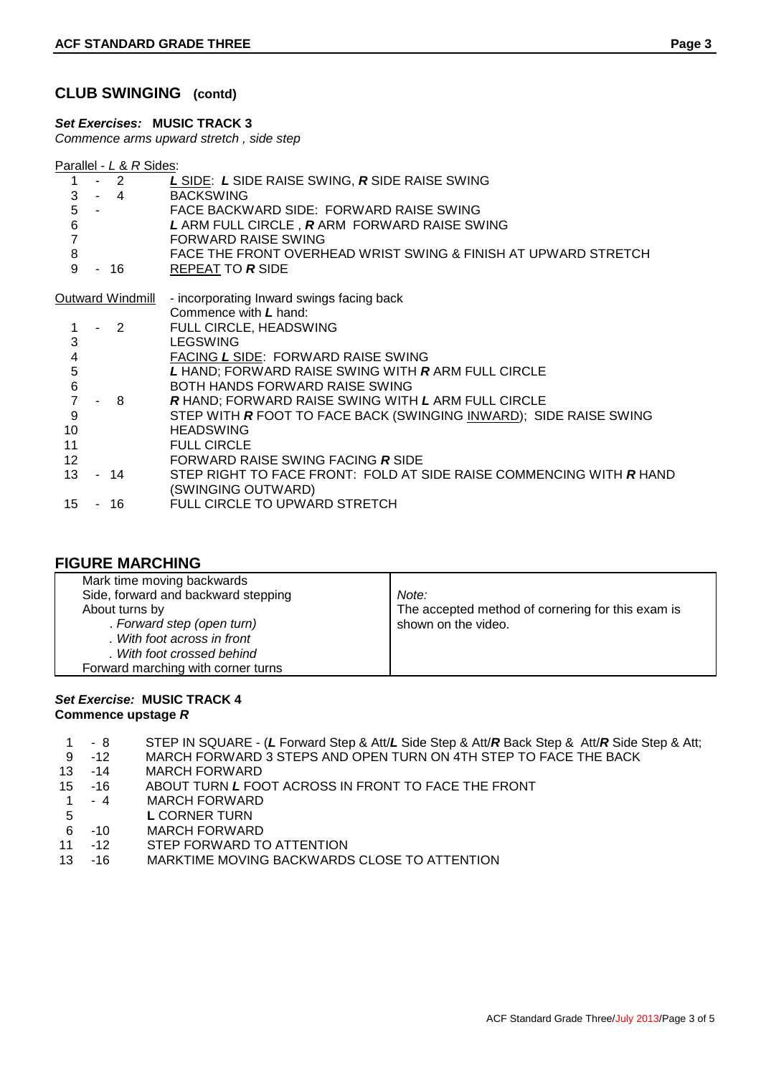#### **CLUB SWINGING (contd)**

*Set Exercises:* **MUSIC TRACK 3**

*Commence arms upward stretch , side step*

|--|

| 1                       | $-2$                       | L SIDE: L SIDE RAISE SWING, R SIDE RAISE SWING                             |
|-------------------------|----------------------------|----------------------------------------------------------------------------|
| 3<br>5                  | $-4$                       | <b>BACKSWING</b>                                                           |
|                         |                            | FACE BACKWARD SIDE: FORWARD RAISE SWING                                    |
| 6                       |                            | L ARM FULL CIRCLE, RARM FORWARD RAISE SWING                                |
| $\overline{7}$          |                            | FORWARD RAISE SWING                                                        |
| 8                       |                            | FACE THE FRONT OVERHEAD WRIST SWING & FINISH AT UPWARD STRETCH             |
| 9                       | - 16                       | REPEAT TO R SIDE                                                           |
|                         | Outward Windmill           | - incorporating Inward swings facing back                                  |
|                         |                            | Commence with L hand:                                                      |
|                         | $\overline{\phantom{0}}^2$ | FULL CIRCLE, HEADSWING                                                     |
| 3                       |                            | <b>LEGSWING</b>                                                            |
| $\overline{\mathbf{4}}$ |                            | FACING L SIDE: FORWARD RAISE SWING                                         |
|                         |                            |                                                                            |
| 5                       |                            | L HAND; FORWARD RAISE SWING WITH RARM FULL CIRCLE                          |
| $\,6$                   |                            | BOTH HANDS FORWARD RAISE SWING                                             |
| 7                       | 8                          | <b>R HAND: FORWARD RAISE SWING WITH L ARM FULL CIRCLE</b>                  |
| 9                       |                            | STEP WITH <b>R</b> FOOT TO FACE BACK (SWINGING INWARD); SIDE RAISE SWING   |
| 10                      |                            | <b>HEADSWING</b>                                                           |
| 11                      |                            | <b>FULL CIRCLE</b>                                                         |
| 12                      |                            | FORWARD RAISE SWING FACING R SIDE                                          |
| 13                      | - 14                       | STEP RIGHT TO FACE FRONT: FOLD AT SIDE RAISE COMMENCING WITH <b>R</b> HAND |
|                         |                            |                                                                            |
|                         |                            | (SWINGING OUTWARD)                                                         |
| 15                      | - 16                       | FULL CIRCLE TO UPWARD STRETCH                                              |

#### **FIGURE MARCHING**

| Mark time moving backwards<br>Side, forward and backward stepping<br>About turns by<br>. Forward step (open turn)<br>. With foot across in front<br>. With foot crossed behind<br>Forward marching with corner turns | Note:<br>The accepted method of cornering for this exam is<br>shown on the video. |
|----------------------------------------------------------------------------------------------------------------------------------------------------------------------------------------------------------------------|-----------------------------------------------------------------------------------|
|----------------------------------------------------------------------------------------------------------------------------------------------------------------------------------------------------------------------|-----------------------------------------------------------------------------------|

#### *Set Exercise:* **MUSIC TRACK 4 Commence upstage** *R*

- 1 8 STEP IN SQUARE (*L* Forward Step & Att/*L* Side Step & Att/*R* Back Step & Att/*R* Side Step & Att;
- MARCH FORWARD 3 STEPS AND OPEN TURN ON 4TH STEP TO FACE THE BACK
- 13 -14 MARCH FORWARD
- 15 -16 ABOUT TURN *L* FOOT ACROSS IN FRONT TO FACE THE FRONT 1 4 MARCH FORWARD
- 1 4 MARCH FORWARD<br>5 L CORNER TURN
- **L CORNER TURN**
- 6 -10 MARCH FORWARD
- 11 -12 STEP FORWARD TO ATTENTION
- 13 -16 MARKTIME MOVING BACKWARDS CLOSE TO ATTENTION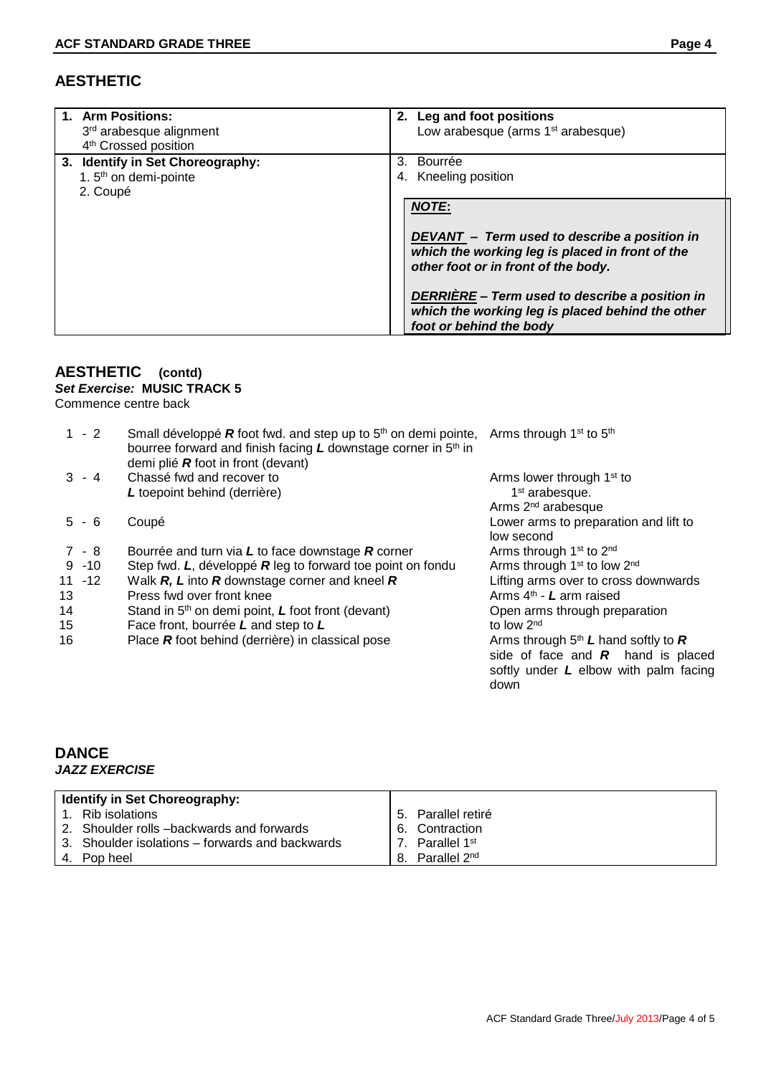| 1. Arm Positions:<br>3rd arabesque alignment<br>4 <sup>th</sup> Crossed position  | 2. Leg and foot positions<br>Low arabesque (arms 1 <sup>st</sup> arabesque)                                                                                                                                                                                                             |
|-----------------------------------------------------------------------------------|-----------------------------------------------------------------------------------------------------------------------------------------------------------------------------------------------------------------------------------------------------------------------------------------|
| 3. Identify in Set Choreography:<br>1. 5 <sup>th</sup> on demi-pointe<br>2. Coupé | Bourrée<br>3.<br>4. Kneeling position                                                                                                                                                                                                                                                   |
|                                                                                   | <b>NOTE:</b><br>DEVANT - Term used to describe a position in<br>which the working leg is placed in front of the<br>other foot or in front of the body.<br>DERRIÈRE - Term used to describe a position in<br>which the working leg is placed behind the other<br>foot or behind the body |

# **AESTHETIC (contd)**

# *Set Exercise:* **MUSIC TRACK 5**

Commence centre back

| $1 - 2$   | Small développé $R$ foot fwd. and step up to $5th$ on demi pointe,<br>bourree forward and finish facing $L$ downstage corner in $5th$ in<br>demi plié $R$ foot in front (devant) | Arms through 1 <sup>st</sup> to 5 <sup>th</sup>                                                                                 |
|-----------|----------------------------------------------------------------------------------------------------------------------------------------------------------------------------------|---------------------------------------------------------------------------------------------------------------------------------|
| $3 - 4$   | Chassé fwd and recover to                                                                                                                                                        | Arms lower through 1 <sup>st</sup> to                                                                                           |
|           | L toepoint behind (derrière)                                                                                                                                                     | 1 <sup>st</sup> arabesque.                                                                                                      |
|           |                                                                                                                                                                                  | Arms 2 <sup>nd</sup> arabesque                                                                                                  |
| $5 - 6$   | Coupé                                                                                                                                                                            | Lower arms to preparation and lift to<br>low second                                                                             |
| 7 - 8     | Bourrée and turn via $L$ to face downstage $R$ corner                                                                                                                            | Arms through 1 <sup>st</sup> to 2 <sup>nd</sup>                                                                                 |
| $9 - 10$  | Step fwd. L, développé R leg to forward toe point on fondu                                                                                                                       | Arms through 1 <sup>st</sup> to low 2 <sup>nd</sup>                                                                             |
| $11 - 12$ | Walk $R$ , $L$ into $R$ downstage corner and kneel $R$                                                                                                                           | Lifting arms over to cross downwards                                                                                            |
| 13        | Press fwd over front knee                                                                                                                                                        | Arms $4th$ - L arm raised                                                                                                       |
| 14        | Stand in 5 <sup>th</sup> on demi point, L foot front (devant)                                                                                                                    | Open arms through preparation                                                                                                   |
| 15        | Face front, bourrée L and step to L                                                                                                                                              | to low 2 <sup>nd</sup>                                                                                                          |
| 16        | Place $R$ foot behind (derrière) in classical pose                                                                                                                               | Arms through $5th L$ hand softly to R<br>side of face and $R$ hand is placed<br>softly under $L$ elbow with palm facing<br>down |

## **DANCE** *JAZZ EXERCISE*

| <b>Identify in Set Choreography:</b> |                                                 |    |                          |
|--------------------------------------|-------------------------------------------------|----|--------------------------|
|                                      | Rib isolations                                  |    | 5. Parallel retiré       |
|                                      | 2. Shoulder rolls –backwards and forwards       |    | 6. Contraction           |
|                                      | 3. Shoulder isolations – forwards and backwards |    | 7. Parallel 1st          |
|                                      | 4. Pop heel                                     | 8. | Parallel 2 <sup>nd</sup> |